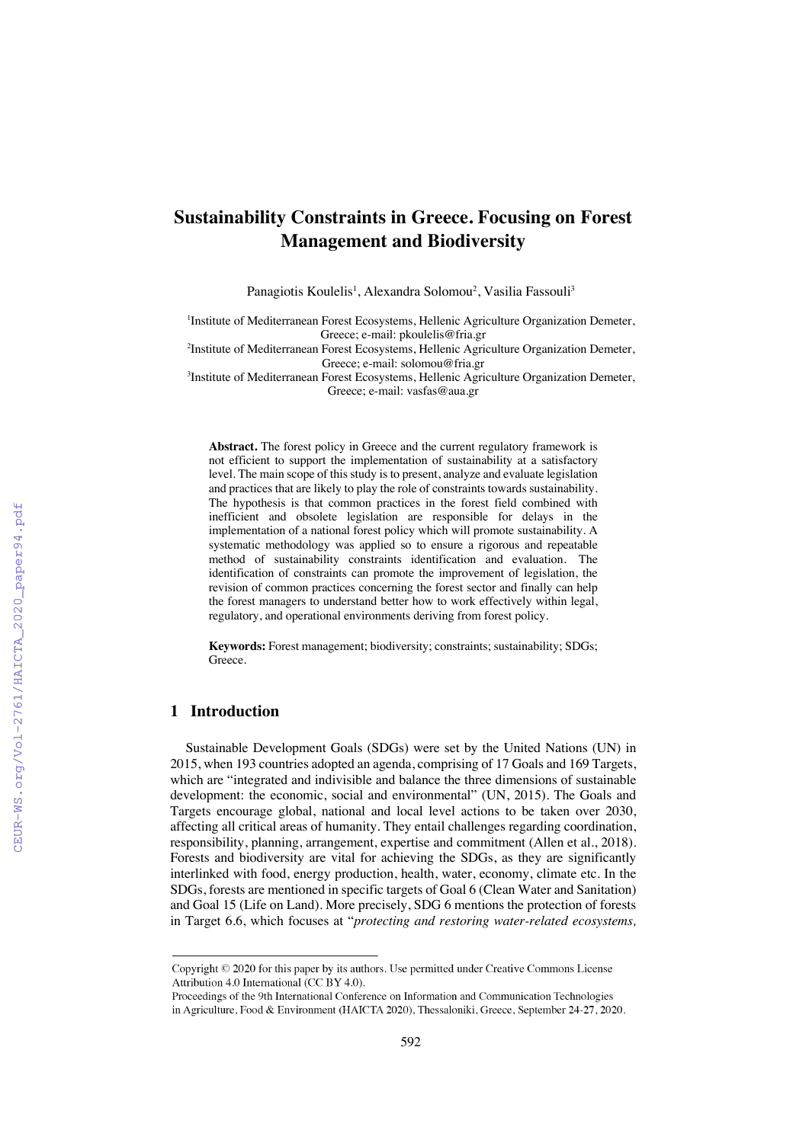# **Sustainability Constraints in Greece. Focusing on Forest Management and Biodiversity**

Panagiotis Koulelis<sup>1</sup>, Alexandra Solomou<sup>2</sup>, Vasilia Fassouli<sup>3</sup>

<sup>1</sup>Institute of Mediterranean Forest Ecosystems, Hellenic Agriculture Organization Demeter, Greece; e-mail: pkoulelis@fria.gr

<sup>2</sup>Institute of Mediterranean Forest Ecosystems, Hellenic Agriculture Organization Demeter, Greece; e-mail: solomou@fria.gr

3 Institute of Mediterranean Forest Ecosystems, Hellenic Agriculture Organization Demeter, Greece; e-mail: vasfas@aua.gr

**Abstract.** The forest policy in Greece and the current regulatory framework is not efficient to support the implementation of sustainability at a satisfactory level. The main scope of this study is to present, analyze and evaluate legislation and practices that are likely to play the role of constraints towards sustainability. The hypothesis is that common practices in the forest field combined with inefficient and obsolete legislation are responsible for delays in the implementation of a national forest policy which will promote sustainability. A systematic methodology was applied so to ensure a rigorous and repeatable method of sustainability constraints identification and evaluation. The identification of constraints can promote the improvement of legislation, the revision of common practices concerning the forest sector and finally can help the forest managers to understand better how to work effectively within legal, regulatory, and operational environments deriving from forest policy.

**Keywords:** Forest management; biodiversity; constraints; sustainability; SDGs; Greece.

## **1 Introduction**

Sustainable Development Goals (SDGs) were set by the United Nations (UN) in 2015, when 193 countries adopted an agenda, comprising of 17 Goals and 169 Targets, which are "integrated and indivisible and balance the three dimensions of sustainable development: the economic, social and environmental" (UN, 2015). The Goals and Targets encourage global, national and local level actions to be taken over 2030, affecting all critical areas of humanity. They entail challenges regarding coordination, responsibility, planning, arrangement, expertise and commitment (Allen et al., 2018). Forests and biodiversity are vital for achieving the SDGs, as they are significantly interlinked with food, energy production, health, water, economy, climate etc. In the SDGs, forests are mentioned in specific targets of Goal 6 (Clean Water and Sanitation) and Goal 15 (Life on Land). More precisely, SDG 6 mentions the protection of forests in Target 6.6, which focuses at "*protecting and restoring water-related ecosystems,* 

Copyright © 2020 for this paper by its authors. Use permitted under Creative Commons License Attribution 4.0 International (CC BY 4.0).

Proceedings of the 9th International Conference on Information and Communication Technologies in Agriculture, Food & Environment (HAICTA 2020), Thessaloniki, Greece, September 24-27, 2020.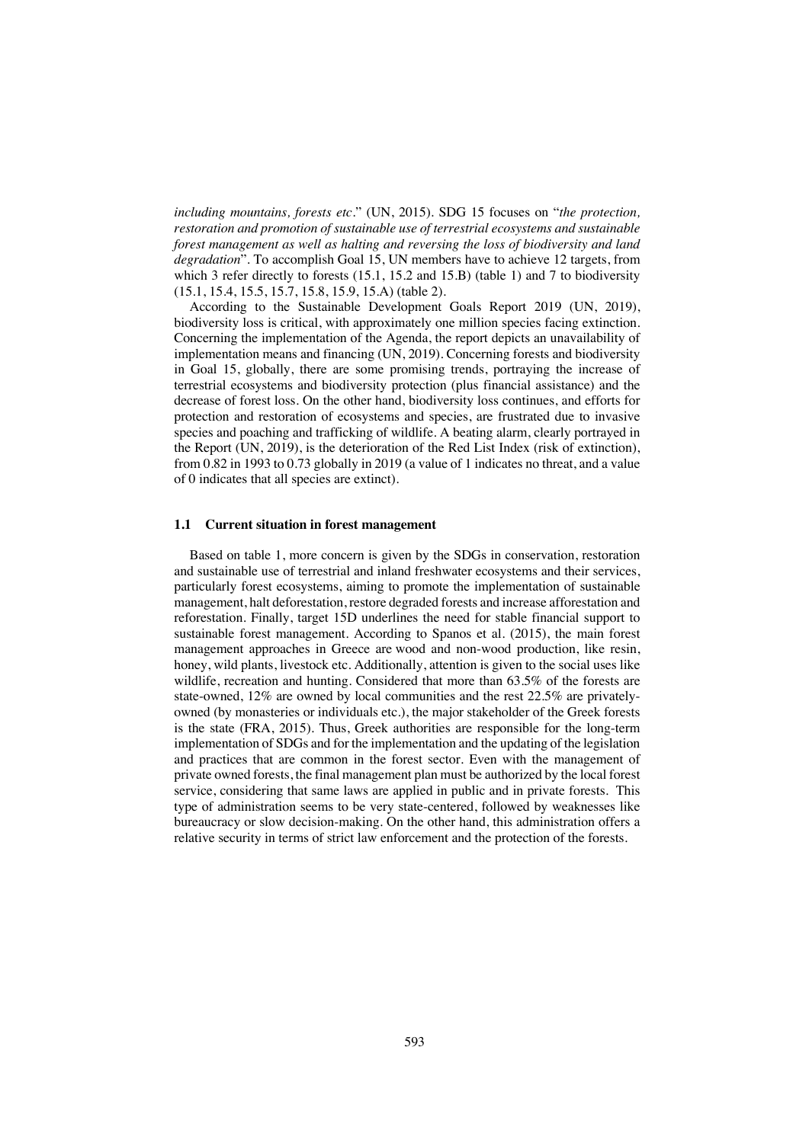*including mountains, forests etc.*" (UN, 2015). SDG 15 focuses on "*the protection, restoration and promotion of sustainable use of terrestrial ecosystems and sustainable forest management as well as halting and reversing the loss of biodiversity and land degradation*". To accomplish Goal 15, UN members have to achieve 12 targets, from which 3 refer directly to forests (15.1, 15.2 and 15.B) (table 1) and 7 to biodiversity (15.1, 15.4, 15.5, 15.7, 15.8, 15.9, 15.A) (table 2).

According to the Sustainable Development Goals Report 2019 (UN, 2019), biodiversity loss is critical, with approximately one million species facing extinction. Concerning the implementation of the Agenda, the report depicts an unavailability of implementation means and financing (UN, 2019). Concerning forests and biodiversity in Goal 15, globally, there are some promising trends, portraying the increase of terrestrial ecosystems and biodiversity protection (plus financial assistance) and the decrease of forest loss. On the other hand, biodiversity loss continues, and efforts for protection and restoration of ecosystems and species, are frustrated due to invasive species and poaching and trafficking of wildlife. A beating alarm, clearly portrayed in the Report (UN, 2019), is the deterioration of the Red List Index (risk of extinction), from 0.82 in 1993 to 0.73 globally in 2019 (a value of 1 indicates no threat, and a value of 0 indicates that all species are extinct).

#### **1.1 Current situation in forest management**

Based on table 1, more concern is given by the SDGs in conservation, restoration and sustainable use of terrestrial and inland freshwater ecosystems and their services, particularly forest ecosystems, aiming to promote the implementation of sustainable management, halt deforestation, restore degraded forests and increase afforestation and reforestation. Finally, target 15D underlines the need for stable financial support to sustainable forest management. According to Spanos et al. (2015), the main forest management approaches in Greece are wood and non-wood production, like resin, honey, wild plants, livestock etc. Additionally, attention is given to the social uses like wildlife, recreation and hunting. Considered that more than 63.5% of the forests are state-owned, 12% are owned by local communities and the rest 22.5% are privatelyowned (by monasteries or individuals etc.), the major stakeholder of the Greek forests is the state (FRA, 2015). Thus, Greek authorities are responsible for the long-term implementation of SDGs and for the implementation and the updating of the legislation and practices that are common in the forest sector. Even with the management of private owned forests, the final management plan must be authorized by the local forest service, considering that same laws are applied in public and in private forests. This type of administration seems to be very state-centered, followed by weaknesses like bureaucracy or slow decision-making. On the other hand, this administration offers a relative security in terms of strict law enforcement and the protection of the forests.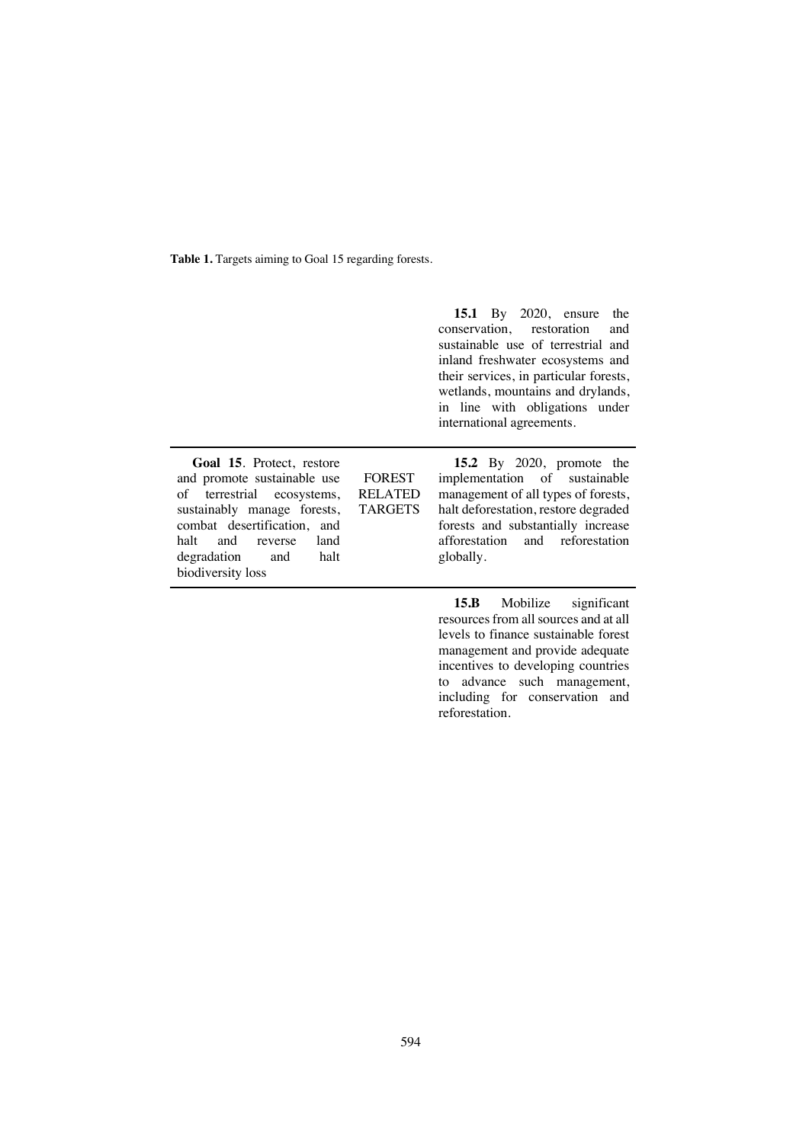Table 1. Targets aiming to Goal 15 regarding forests.

|                                                                                                                                                                                                                                               |                                                   | <b>15.1</b> By 2020, ensure<br>the<br>conservation, restoration<br>and<br>sustainable use of terrestrial and<br>inland freshwater ecosystems and<br>their services, in particular forests,<br>wetlands, mountains and drylands,<br>in line with obligations under<br>international agreements. |
|-----------------------------------------------------------------------------------------------------------------------------------------------------------------------------------------------------------------------------------------------|---------------------------------------------------|------------------------------------------------------------------------------------------------------------------------------------------------------------------------------------------------------------------------------------------------------------------------------------------------|
| <b>Goal 15.</b> Protect, restore<br>and promote sustainable use<br>of terrestrial ecosystems,<br>sustainably manage forests,<br>combat desertification, and<br>halt<br>and<br>land<br>reverse<br>degradation and<br>halt<br>biodiversity loss | <b>FOREST</b><br><b>RELATED</b><br><b>TARGETS</b> | <b>15.2</b> By 2020, promote the<br>implementation of sustainable<br>management of all types of forests,<br>halt deforestation, restore degraded<br>forests and substantially increase<br>afforestation and reforestation<br>globally.                                                         |

**15.B** Mobilize significant resources from all sources and at all levels to finance sustainable forest management and provide adequate incentives to developing countries to advance such management, including for conservation and reforestation.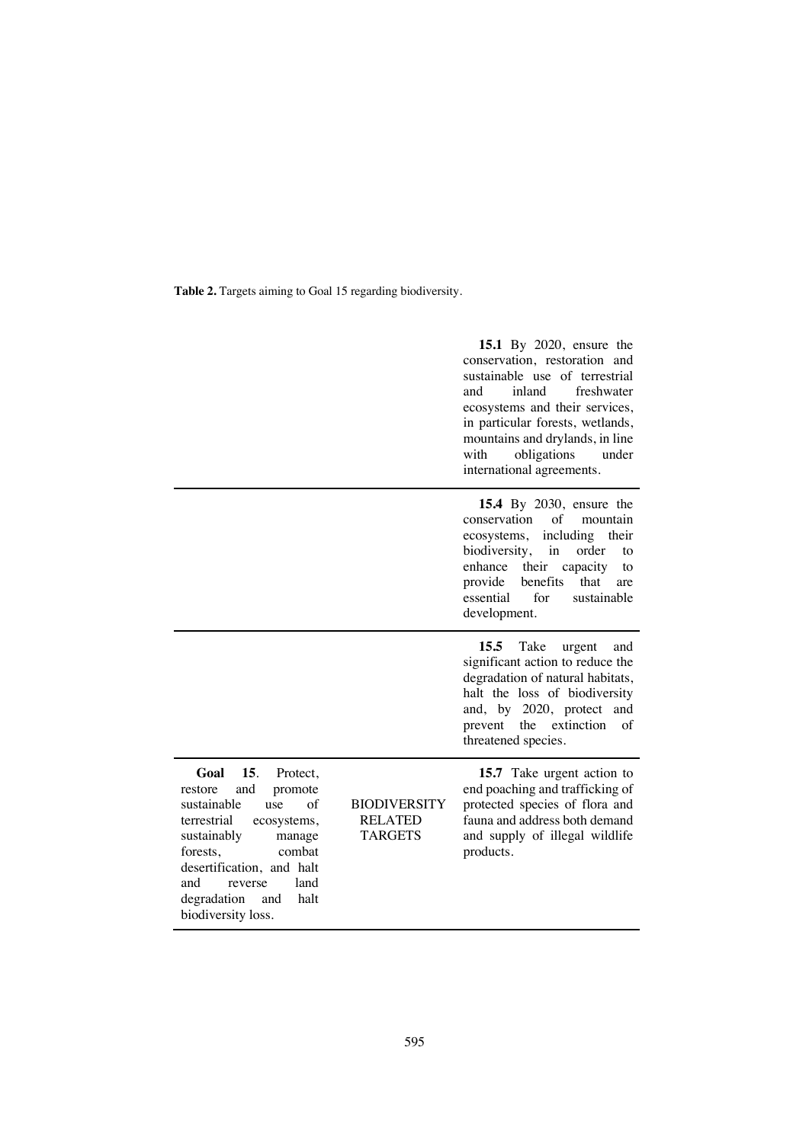Table 2. Targets aiming to Goal 15 regarding biodiversity.

|                                                                                                                                                                                                                                                                                  |                                                         | <b>15.1</b> By 2020, ensure the<br>conservation, restoration and<br>sustainable use of terrestrial<br>inland<br>freshwater<br>and<br>ecosystems and their services,<br>in particular forests, wetlands,<br>mountains and drylands, in line<br>obligations<br>with<br>under<br>international agreements. |
|----------------------------------------------------------------------------------------------------------------------------------------------------------------------------------------------------------------------------------------------------------------------------------|---------------------------------------------------------|---------------------------------------------------------------------------------------------------------------------------------------------------------------------------------------------------------------------------------------------------------------------------------------------------------|
|                                                                                                                                                                                                                                                                                  |                                                         | 15.4 By 2030, ensure the<br>of<br>conservation<br>mountain<br>including<br>ecosystems,<br>their<br>biodiversity,<br>in<br>order<br>to<br>their<br>enhance<br>capacity<br>to<br>provide<br>benefits<br>that<br>are<br>essential<br>for<br>sustainable<br>development.                                    |
|                                                                                                                                                                                                                                                                                  |                                                         | 15.5<br>Take<br>urgent<br>and<br>significant action to reduce the<br>degradation of natural habitats,<br>halt the loss of biodiversity<br>and, by 2020, protect<br>and<br>the<br>extinction<br>prevent<br>of<br>threatened species.                                                                     |
| 15.<br>Goal<br>Protect,<br>and<br>promote<br>restore<br>$\sigma$ f<br>sustainable<br>use<br>terrestrial<br>ecosystems,<br>sustainably<br>manage<br>combat<br>forests,<br>desertification, and halt<br>and<br>land<br>reverse<br>halt<br>degradation<br>and<br>biodiversity loss. | <b>BIODIVERSITY</b><br><b>RELATED</b><br><b>TARGETS</b> | 15.7 Take urgent action to<br>end poaching and trafficking of<br>protected species of flora and<br>fauna and address both demand<br>and supply of illegal wildlife<br>products.                                                                                                                         |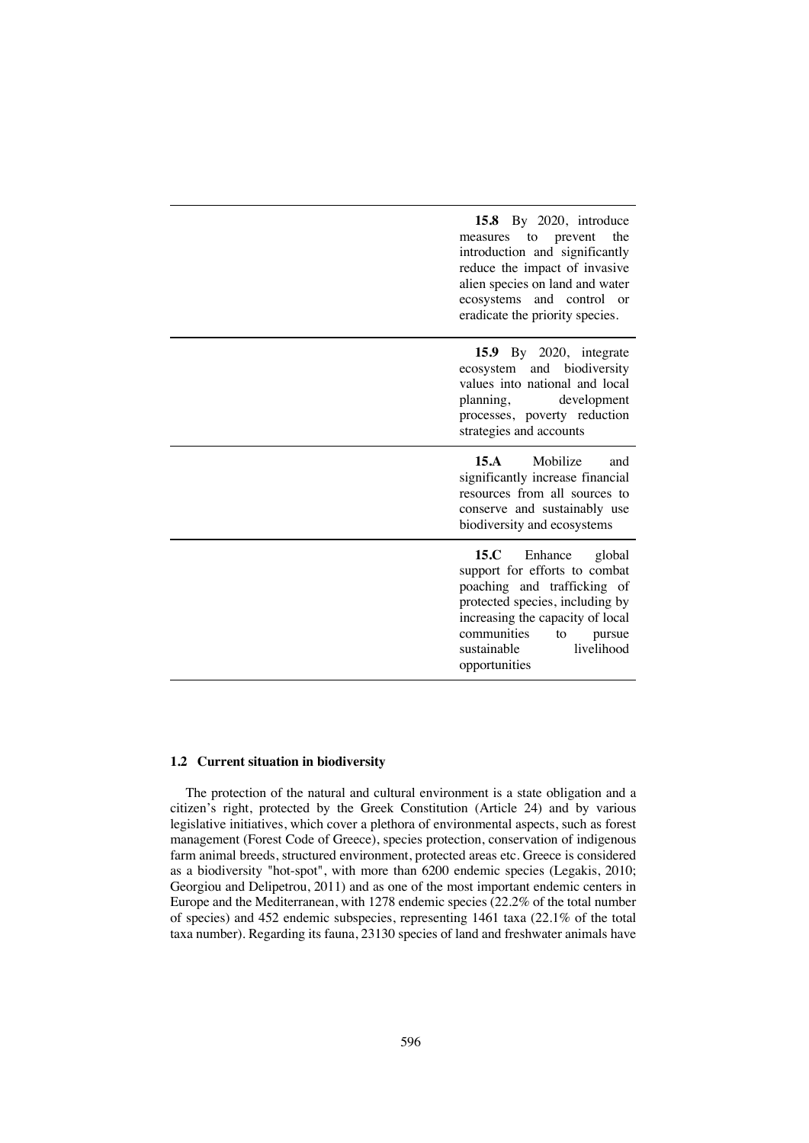| 15.8 By 2020, introduce<br>the<br>prevent<br>to<br>measures<br>introduction and significantly<br>reduce the impact of invasive<br>alien species on land and water<br>ecosystems and control or<br>eradicate the priority species.             |
|-----------------------------------------------------------------------------------------------------------------------------------------------------------------------------------------------------------------------------------------------|
| 15.9 By 2020, integrate<br>ecosystem and biodiversity<br>values into national and local<br>planning,<br>development<br>processes, poverty reduction<br>strategies and accounts                                                                |
| Mobilize<br>15.A<br>and<br>significantly increase financial<br>resources from all sources to<br>conserve and sustainably use<br>biodiversity and ecosystems                                                                                   |
| 15.C<br>Enhance<br>global<br>support for efforts to combat<br>poaching and trafficking of<br>protected species, including by<br>increasing the capacity of local<br>communities<br>to<br>pursue<br>livelihood<br>sustainable<br>opportunities |

#### **1.2 Current situation in biodiversity**

The protection of the natural and cultural environment is a state obligation and a citizen's right, protected by the Greek Constitution (Article 24) and by various legislative initiatives, which cover a plethora of environmental aspects, such as forest management (Forest Code of Greece), species protection, conservation of indigenous farm animal breeds, structured environment, protected areas etc. Greece is considered as a biodiversity "hot-spot", with more than 6200 endemic species (Legakis, 2010; Georgiou and Delipetrou, 2011) and as one of the most important endemic centers in Europe and the Mediterranean, with 1278 endemic species (22.2% of the total number of species) and 452 endemic subspecies, representing 1461 taxa (22.1% of the total taxa number). Regarding its fauna, 23130 species of land and freshwater animals have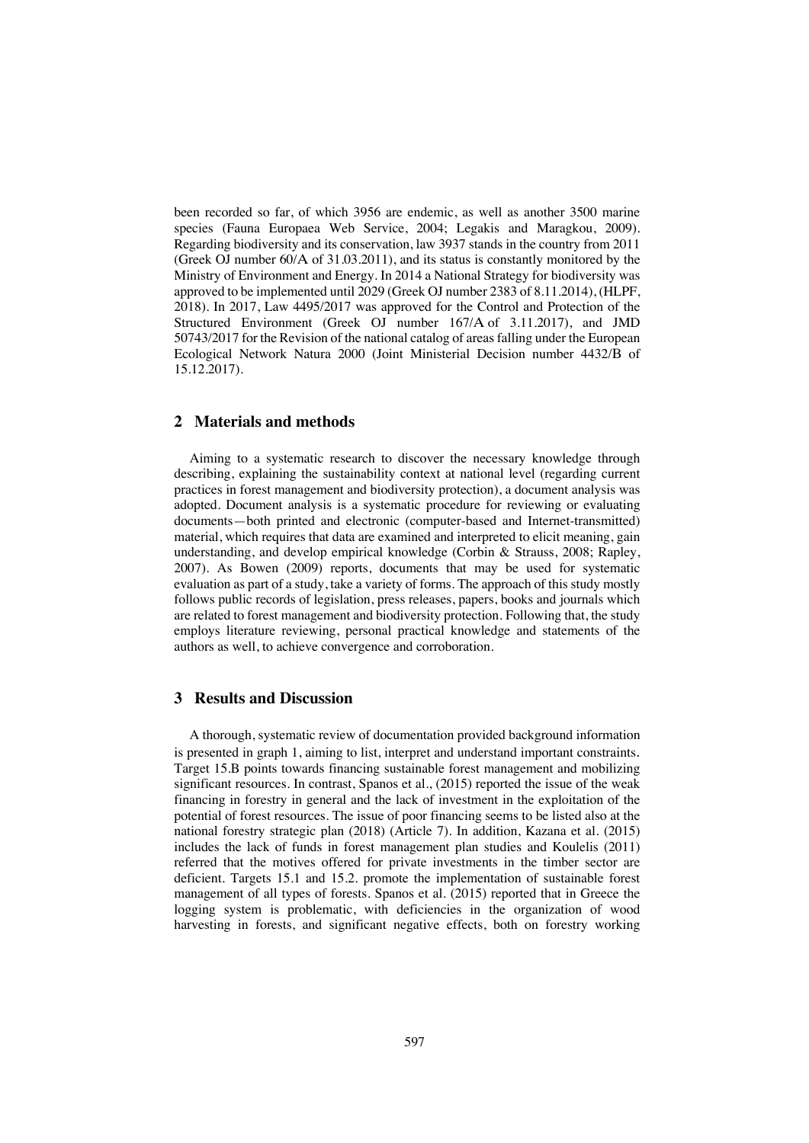been recorded so far, of which 3956 are endemic, as well as another 3500 marine species (Fauna Europaea Web Service, 2004; Legakis and Maragkou, 2009). Regarding biodiversity and its conservation, law 3937 stands in the country from 2011 (Greek OJ number 60/Α of 31.03.2011), and its status is constantly monitored by the Ministry of Environment and Energy. In 2014 a National Strategy for biodiversity was approved to be implemented until 2029 (Greek OJ number 2383 of 8.11.2014), (HLPF, 2018). In 2017, Law 4495/2017 was approved for the Control and Protection of the Structured Environment (Greek OJ number 167/Α of 3.11.2017), and JMD 50743/2017 for the Revision of the national catalog of areasfalling under the European Ecological Network Natura 2000 (Joint Ministerial Decision number 4432/Β of 15.12.2017).

# **2 Materials and methods**

Aiming to a systematic research to discover the necessary knowledge through describing, explaining the sustainability context at national level (regarding current practices in forest management and biodiversity protection), a document analysis was adopted. Document analysis is a systematic procedure for reviewing or evaluating documents—both printed and electronic (computer-based and Internet-transmitted) material, which requires that data are examined and interpreted to elicit meaning, gain understanding, and develop empirical knowledge (Corbin & Strauss, 2008; Rapley, 2007). As Bowen (2009) reports, documents that may be used for systematic evaluation as part of a study, take a variety of forms. The approach of this study mostly follows public records of legislation, press releases, papers, books and journals which are related to forest management and biodiversity protection. Following that, the study employs literature reviewing, personal practical knowledge and statements of the authors as well, to achieve convergence and corroboration.

# **3 Results and Discussion**

A thorough, systematic review of documentation provided background information is presented in graph 1, aiming to list, interpret and understand important constraints. Target 15.B points towards financing sustainable forest management and mobilizing significant resources. In contrast, Spanos et al., (2015) reported the issue of the weak financing in forestry in general and the lack of investment in the exploitation of the potential of forest resources. The issue of poor financing seems to be listed also at the national forestry strategic plan (2018) (Article 7). In addition, Kazana et al. (2015) includes the lack of funds in forest management plan studies and Koulelis (2011) referred that the motives offered for private investments in the timber sector are deficient. Targets 15.1 and 15.2. promote the implementation of sustainable forest management of all types of forests. Spanos et al. (2015) reported that in Greece the logging system is problematic, with deficiencies in the organization of wood harvesting in forests, and significant negative effects, both on forestry working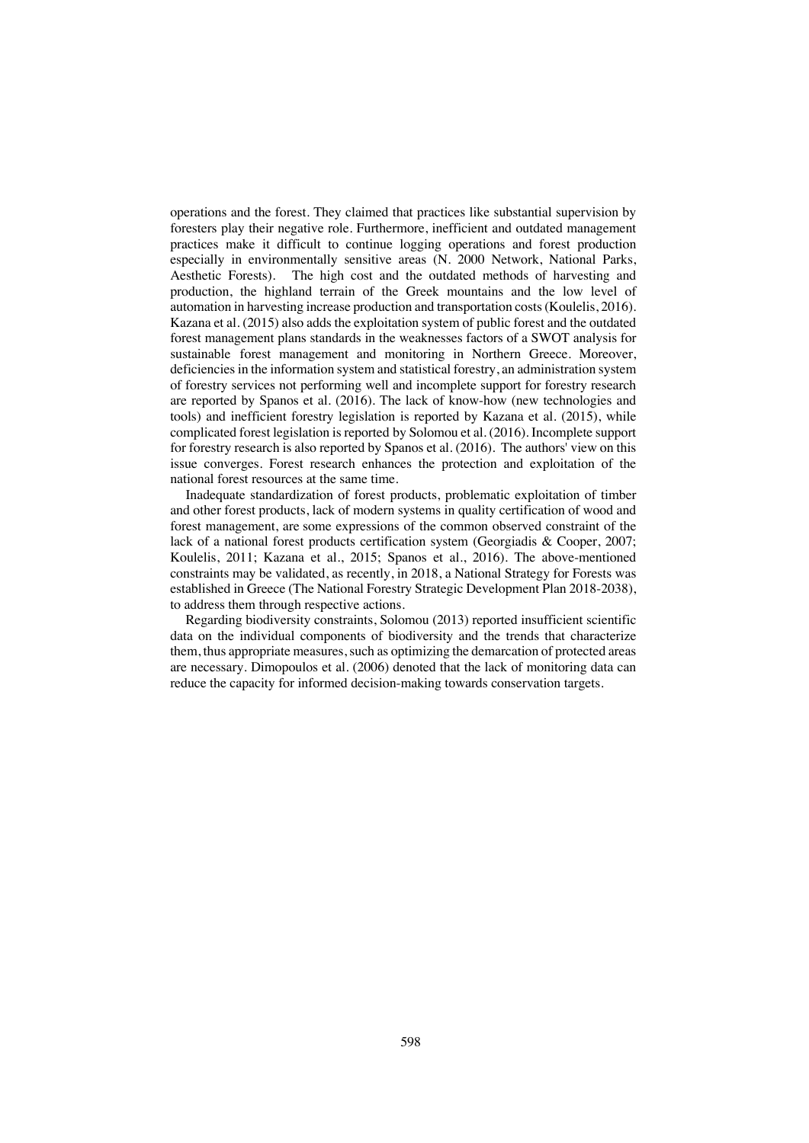operations and the forest. They claimed that practices like substantial supervision by foresters play their negative role. Furthermore, inefficient and outdated management practices make it difficult to continue logging operations and forest production especially in environmentally sensitive areas (N. 2000 Network, National Parks, Aesthetic Forests). The high cost and the outdated methods of harvesting and production, the highland terrain of the Greek mountains and the low level of automation in harvesting increase production and transportation costs(Koulelis, 2016). Kazana et al. (2015) also adds the exploitation system of public forest and the outdated forest management plans standards in the weaknesses factors of a SWOT analysis for sustainable forest management and monitoring in Northern Greece. Moreover, deficiencies in the information system and statistical forestry, an administration system of forestry services not performing well and incomplete support for forestry research are reported by Spanos et al. (2016). The lack of know-how (new technologies and tools) and inefficient forestry legislation is reported by Kazana et al. (2015), while complicated forest legislation is reported by Solomou et al. (2016). Incomplete support for forestry research is also reported by Spanos et al. (2016). The authors' view on this issue converges. Forest research enhances the protection and exploitation of the national forest resources at the same time.

Inadequate standardization of forest products, problematic exploitation of timber and other forest products, lack of modern systems in quality certification of wood and forest management, are some expressions of the common observed constraint of the lack of a national forest products certification system (Georgiadis & Cooper, 2007; Koulelis, 2011; Kazana et al., 2015; Spanos et al., 2016). The above-mentioned constraints may be validated, as recently, in 2018, a National Strategy for Forests was established in Greece (The National Forestry Strategic Development Plan 2018-2038), to address them through respective actions.

Regarding biodiversity constraints, Solomou (2013) reported insufficient scientific data on the individual components of biodiversity and the trends that characterize them, thus appropriate measures, such as optimizing the demarcation of protected areas are necessary. Dimopoulos et al. (2006) denoted that the lack of monitoring data can reduce the capacity for informed decision-making towards conservation targets.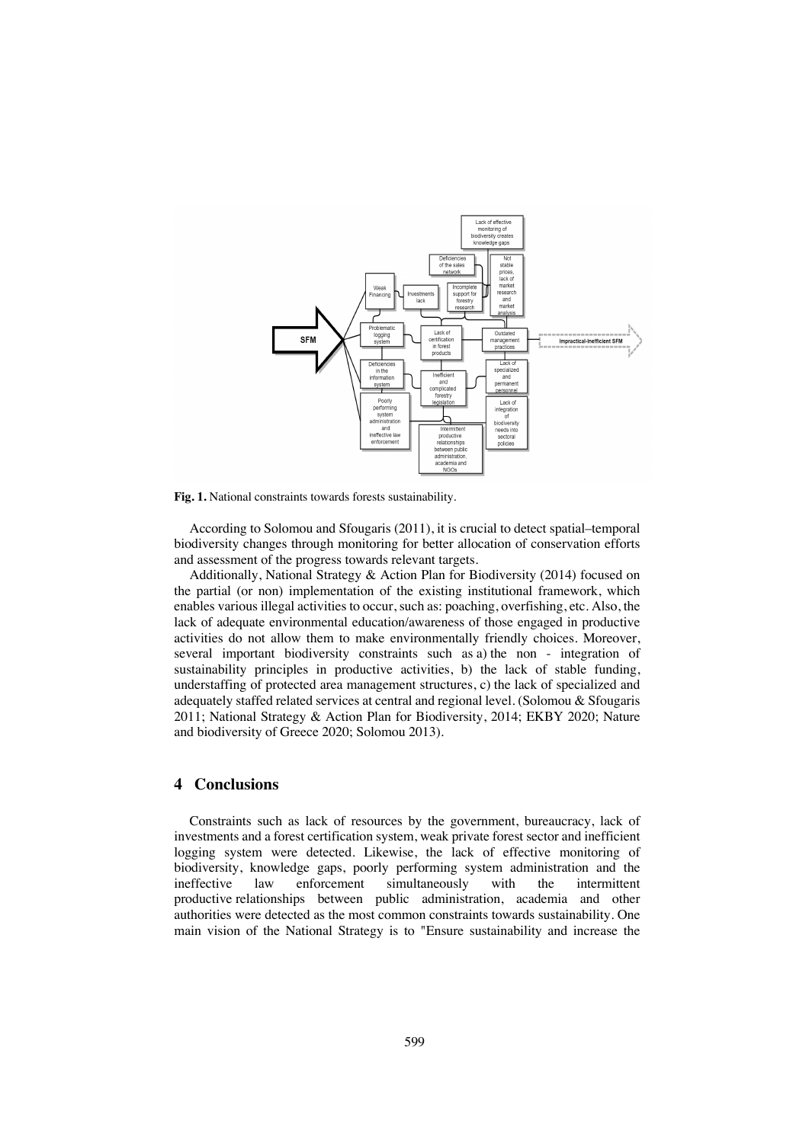

**Fig. 1.** National constraints towards forests sustainability.

According to Solomou and Sfougaris (2011), it is crucial to detect spatial–temporal biodiversity changes through monitoring for better allocation of conservation efforts and assessment of the progress towards relevant targets.

Additionally, National Strategy & Action Plan for Biodiversity (2014) focused on the partial (or non) implementation of the existing institutional framework, which enables various illegal activities to occur, such as: poaching, overfishing, etc. Also, the lack of adequate environmental education/awareness of those engaged in productive activities do not allow them to make environmentally friendly choices. Moreover, several important biodiversity constraints such as a) the non - integration of sustainability principles in productive activities, b) the lack of stable funding, understaffing of protected area management structures, c) the lack of specialized and adequately staffed related services at central and regional level. (Solomou & Sfougaris 2011; National Strategy & Action Plan for Biodiversity, 2014; EKBY 2020; Nature and biodiversity of Greece 2020; Solomou 2013).

## **4 Conclusions**

Constraints such as lack of resources by the government, bureaucracy, lack of investments and a forest certification system, weak private forest sector and inefficient logging system were detected. Likewise, the lack of effective monitoring of biodiversity, knowledge gaps, poorly performing system administration and the ineffective law enforcement simultaneously with the intermittent productive relationships between public administration, academia and other authorities were detected as the most common constraints towards sustainability. One main vision of the National Strategy is to "Ensure sustainability and increase the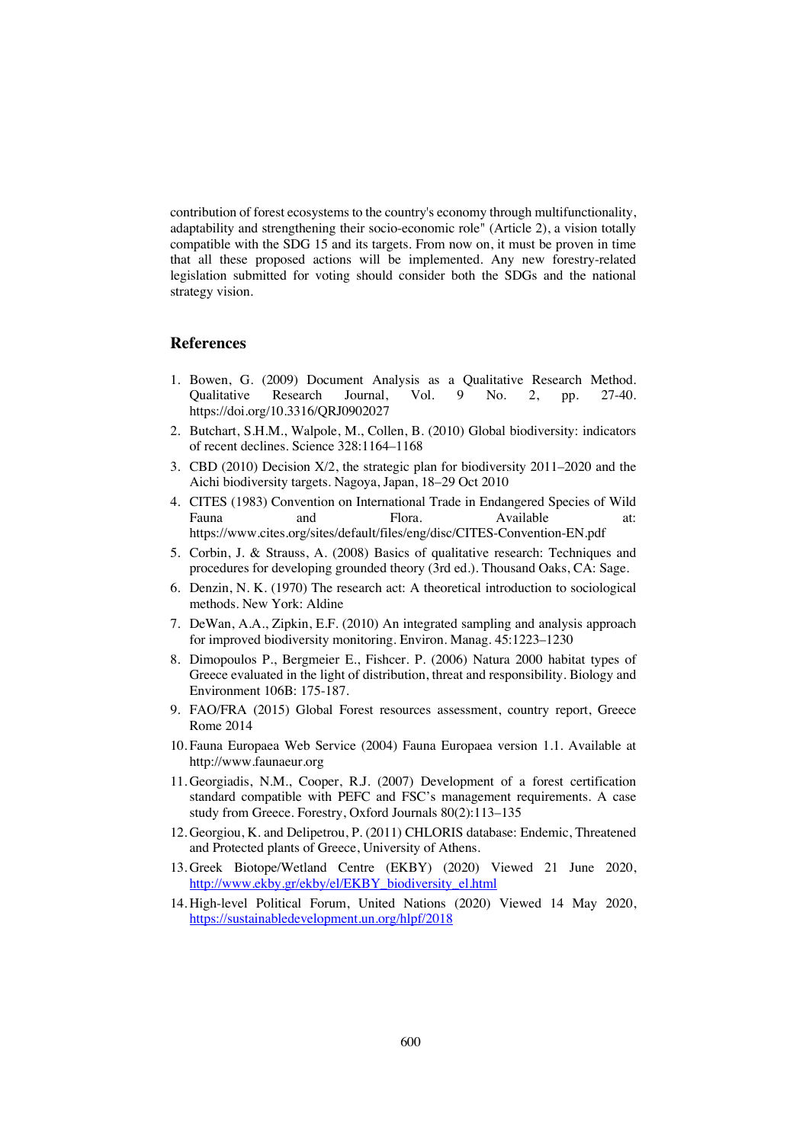contribution of forest ecosystems to the country's economy through multifunctionality, adaptability and strengthening their socio-economic role" (Article 2), a vision totally compatible with the SDG 15 and its targets. From now on, it must be proven in time that all these proposed actions will be implemented. Any new forestry-related legislation submitted for voting should consider both the SDGs and the national strategy vision.

## **References**

- 1. Bowen, G. (2009) Document Analysis as a Qualitative Research Method. Qualitative Research Journal, Vol. 9 No. 2, pp. 27-40. https://doi.org/10.3316/QRJ0902027
- 2. Butchart, S.H.M., Walpole, M., Collen, B. (2010) Global biodiversity: indicators of recent declines. Science 328:1164–1168
- 3. CBD (2010) Decision X/2, the strategic plan for biodiversity 2011–2020 and the Aichi biodiversity targets. Nagoya, Japan, 18–29 Oct 2010
- 4. CITES (1983) Convention on International Trade in Endangered Species of Wild Fauna and Flora. Available at: https://www.cites.org/sites/default/files/eng/disc/CITES-Convention-EN.pdf
- 5. Corbin, J. & Strauss, A. (2008) Basics of qualitative research: Techniques and procedures for developing grounded theory (3rd ed.). Thousand Oaks, CA: Sage.
- 6. Denzin, N. K. (1970) The research act: A theoretical introduction to sociological methods. New York: Aldine
- 7. DeWan, A.A., Zipkin, E.F. (2010) An integrated sampling and analysis approach for improved biodiversity monitoring. Environ. Manag. 45:1223–1230
- 8. Dimopoulos P., Bergmeier E., Fishcer. P. (2006) Natura 2000 habitat types of Greece evaluated in the light of distribution, threat and responsibility. Biology and Environment 106B: 175-187.
- 9. FAO/FRA (2015) Global Forest resources assessment, country report, Greece Rome 2014
- 10. Fauna Europaea Web Service (2004) Fauna Europaea version 1.1. Available at http://www.faunaeur.org
- 11. Georgiadis, N.M., Cooper, R.J. (2007) Development of a forest certification standard compatible with PEFC and FSC's management requirements. A case study from Greece. Forestry, Oxford Journals 80(2):113–135
- 12. Georgiou, K. and Delipetrou, P. (2011) CHLORIS database: Endemic, Threatened and Protected plants of Greece, University of Athens.
- 13. Greek Biotope/Wetland Centre (EKBY) (2020) Viewed 21 June 2020, http://www.ekby.gr/ekby/el/EKBY\_biodiversity\_el.html
- 14. High-level Political Forum, United Nations (2020) Viewed 14 May 2020, https://sustainabledevelopment.un.org/hlpf/2018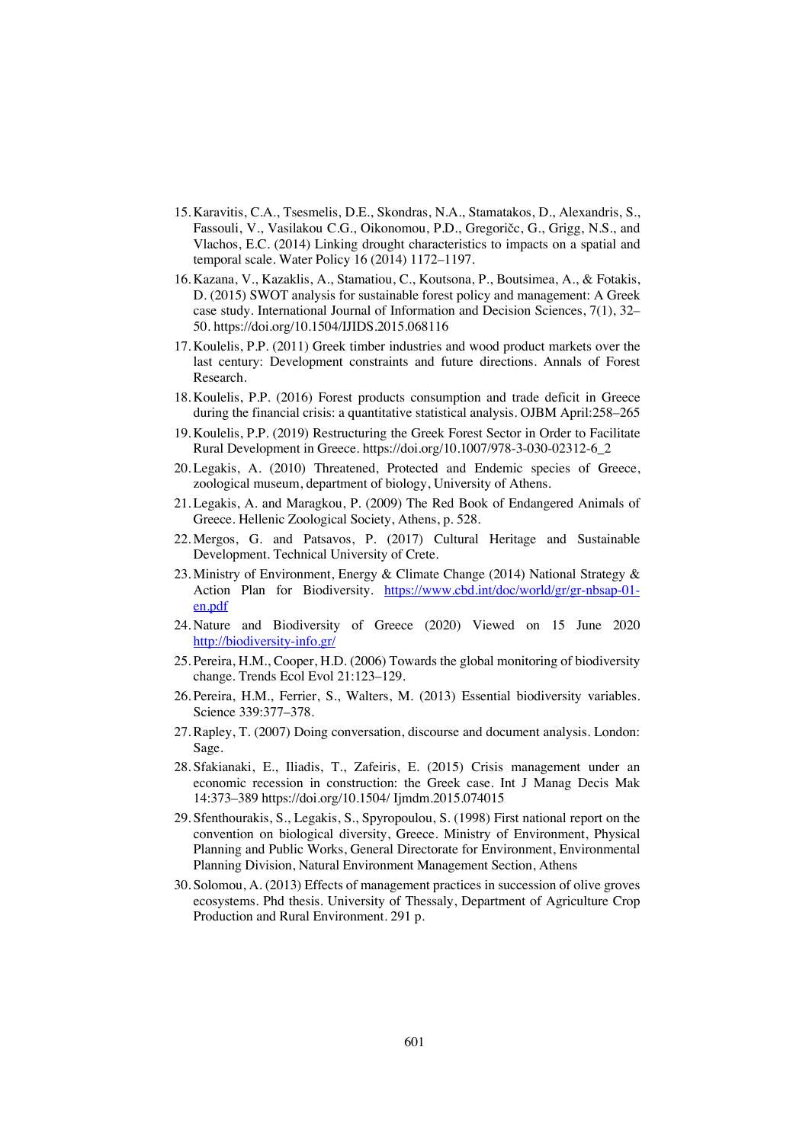- 15. Karavitis, C.A., Tsesmelis, D.E., Skondras, N.A., Stamatakos, D., Alexandris, S., Fassouli, V., Vasilakou C.G., Oikonomou, P.D., Gregoričc, G., Grigg, N.S., and Vlachos, E.C. (2014) Linking drought characteristics to impacts on a spatial and temporal scale. Water Policy 16 (2014) 1172–1197.
- 16. Kazana, V., Kazaklis, A., Stamatiou, C., Koutsona, P., Boutsimea, A., & Fotakis, D. (2015) SWOT analysis for sustainable forest policy and management: A Greek case study. International Journal of Information and Decision Sciences, 7(1), 32– 50. https://doi.org/10.1504/IJIDS.2015.068116
- 17. Koulelis, P.P. (2011) Greek timber industries and wood product markets over the last century: Development constraints and future directions. Annals of Forest Research.
- 18. Koulelis, P.P. (2016) Forest products consumption and trade deficit in Greece during the financial crisis: a quantitative statistical analysis. OJBM April:258–265
- 19. Koulelis, P.P. (2019) Restructuring the Greek Forest Sector in Order to Facilitate Rural Development in Greece. https://doi.org/10.1007/978-3-030-02312-6\_2
- 20. Legakis, A. (2010) Threatened, Protected and Endemic species of Greece, zoological museum, department of biology, University of Athens.
- 21. Legakis, A. and Maragkou, P. (2009) The Red Book of Endangered Animals of Greece. Hellenic Zoological Society, Athens, p. 528.
- 22. Mergos, G. and Patsavos, P. (2017) Cultural Heritage and Sustainable Development. Technical University of Crete.
- 23. Ministry of Environment, Energy & Climate Change (2014) National Strategy & Action Plan for Biodiversity. https://www.cbd.int/doc/world/gr/gr-nbsap-01en.pdf
- 24. Nature and Biodiversity of Greece (2020) Viewed on 15 June 2020 http://biodiversity-info.gr/
- 25. Pereira, H.M., Cooper, H.D. (2006) Towards the global monitoring of biodiversity change. Trends Ecol Evol 21:123–129.
- 26. Pereira, H.M., Ferrier, S., Walters, M. (2013) Essential biodiversity variables. Science 339:377–378.
- 27.Rapley, T. (2007) Doing conversation, discourse and document analysis. London: Sage.
- 28. Sfakianaki, E., Iliadis, T., Zafeiris, E. (2015) Crisis management under an economic recession in construction: the Greek case. Int J Manag Decis Mak 14:373–389 https://doi.org/10.1504/ Ijmdm.2015.074015
- 29. Sfenthourakis, S., Legakis, S., Spyropoulou, S. (1998) First national report on the convention on biological diversity, Greece. Ministry of Environment, Physical Planning and Public Works, General Directorate for Environment, Environmental Planning Division, Natural Environment Management Section, Athens
- 30. Solomou, A. (2013) Effects of management practices in succession of olive groves ecosystems. Phd thesis. University of Thessaly, Department of Agriculture Crop Production and Rural Environment. 291 p.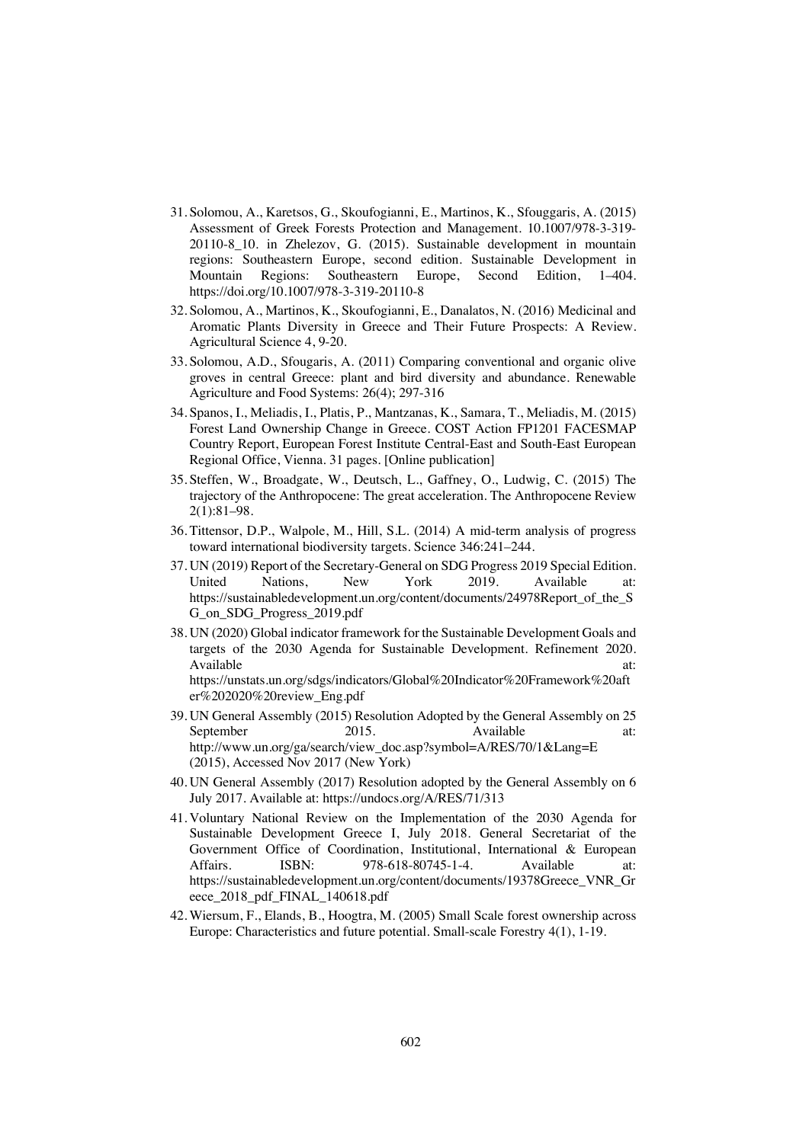- 31. Solomou, A., Karetsos, G., Skoufogianni, E., Martinos, K., Sfouggaris, A. (2015) Assessment of Greek Forests Protection and Management. 10.1007/978-3-319- 20110-8\_10. in Zhelezov, G. (2015). Sustainable development in mountain regions: Southeastern Europe, second edition. Sustainable Development in Mountain Regions: Southeastern Europe, Second Edition, 1–404. https://doi.org/10.1007/978-3-319-20110-8
- 32. Solomou, A., Martinos, K., Skoufogianni, E., Danalatos, N. (2016) Medicinal and Aromatic Plants Diversity in Greece and Their Future Prospects: A Review. Agricultural Science 4, 9-20.
- 33. Solomou, A.D., Sfougaris, A. (2011) Comparing conventional and organic olive groves in central Greece: plant and bird diversity and abundance. Renewable Agriculture and Food Systems: 26(4); 297-316
- 34. Spanos, I., Meliadis, I., Platis, P., Mantzanas, K., Samara, T., Meliadis, M. (2015) Forest Land Ownership Change in Greece. COST Action FP1201 FACESMAP Country Report, European Forest Institute Central-East and South-East European Regional Office, Vienna. 31 pages. [Online publication]
- 35. Steffen, W., Broadgate, W., Deutsch, L., Gaffney, O., Ludwig, C. (2015) The trajectory of the Anthropocene: The great acceleration. The Anthropocene Review 2(1):81–98.
- 36. Tittensor, D.P., Walpole, M., Hill, S.L. (2014) A mid-term analysis of progress toward international biodiversity targets. Science 346:241–244.
- 37. UN (2019) Report of the Secretary-General on SDG Progress 2019 Special Edition. United Nations, New York 2019. Available at: https://sustainabledevelopment.un.org/content/documents/24978Report\_of\_the\_S G\_on\_SDG\_Progress\_2019.pdf
- 38. UN (2020) Global indicator framework for the Sustainable Development Goals and targets of the 2030 Agenda for Sustainable Development. Refinement 2020. Available at: https://unstats.un.org/sdgs/indicators/Global%20Indicator%20Framework%20aft er%202020%20review\_Eng.pdf
- 39. UN General Assembly (2015) Resolution Adopted by the General Assembly on 25 September 2015. Available at: http://www.un.org/ga/search/view\_doc.asp?symbol=A/RES/70/1&Lang=E (2015), Accessed Nov 2017 (New York)
- 40. UN General Assembly (2017) Resolution adopted by the General Assembly on 6 July 2017. Available at: https://undocs.org/A/RES/71/313
- 41. Voluntary National Review on the Implementation of the 2030 Agenda for Sustainable Development Greece I, July 2018. General Secretariat of the Government Office of Coordination, Institutional, International & European Affairs. ISBN: 978-618-80745-1-4. Available at: https://sustainabledevelopment.un.org/content/documents/19378Greece\_VNR\_Gr eece\_2018\_pdf\_FINAL\_140618.pdf
- 42. Wiersum, F., Elands, B., Hoogtra, M. (2005) Small Scale forest ownership across Europe: Characteristics and future potential. Small-scale Forestry 4(1), 1-19.